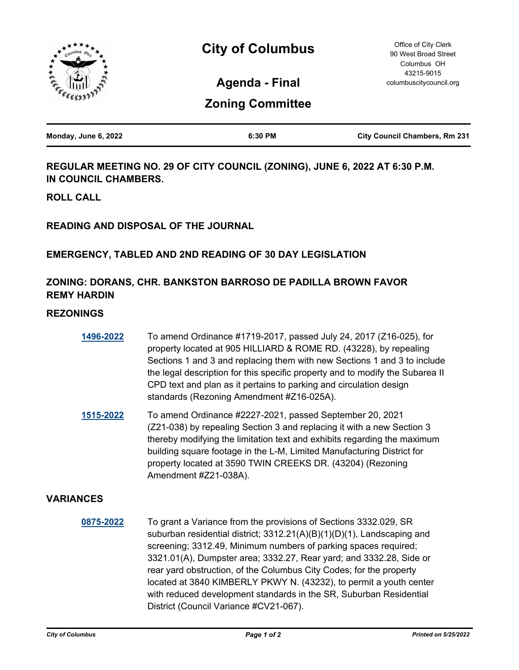

**Agenda - Final**

# **Zoning Committee**

| Monday, June 6, 2022 | 6:30 PM | <b>City Council Chambers, Rm 231</b> |
|----------------------|---------|--------------------------------------|
|                      |         |                                      |

**REGULAR MEETING NO. 29 OF CITY COUNCIL (ZONING), JUNE 6, 2022 AT 6:30 P.M. IN COUNCIL CHAMBERS.**

**ROLL CALL**

**READING AND DISPOSAL OF THE JOURNAL**

### **EMERGENCY, TABLED AND 2ND READING OF 30 DAY LEGISLATION**

## **ZONING: DORANS, CHR. BANKSTON BARROSO DE PADILLA BROWN FAVOR REMY HARDIN**

### **REZONINGS**

| 1496-2022 | To amend Ordinance #1719-2017, passed July 24, 2017 (Z16-025), for            |
|-----------|-------------------------------------------------------------------------------|
|           | property located at 905 HILLIARD & ROME RD. (43228), by repealing             |
|           | Sections 1 and 3 and replacing them with new Sections 1 and 3 to include      |
|           | the legal description for this specific property and to modify the Subarea II |
|           | CPD text and plan as it pertains to parking and circulation design            |
|           | standards (Rezoning Amendment #Z16-025A).                                     |

**[1515-2022](http://columbus.legistar.com/gateway.aspx?m=l&id=/matter.aspx?key=123033)** To amend Ordinance #2227-2021, passed September 20, 2021 (Z21-038) by repealing Section 3 and replacing it with a new Section 3 thereby modifying the limitation text and exhibits regarding the maximum building square footage in the L-M, Limited Manufacturing District for property located at 3590 TWIN CREEKS DR. (43204) (Rezoning Amendment #Z21-038A).

#### **VARIANCES**

**[0875-2022](http://columbus.legistar.com/gateway.aspx?m=l&id=/matter.aspx?key=122387)** To grant a Variance from the provisions of Sections 3332.029, SR suburban residential district; 3312.21(A)(B)(1)(D)(1), Landscaping and screening; 3312.49, Minimum numbers of parking spaces required; 3321.01(A), Dumpster area; 3332.27, Rear yard; and 3332.28, Side or rear yard obstruction, of the Columbus City Codes; for the property located at 3840 KIMBERLY PKWY N. (43232), to permit a youth center with reduced development standards in the SR, Suburban Residential District (Council Variance #CV21-067).